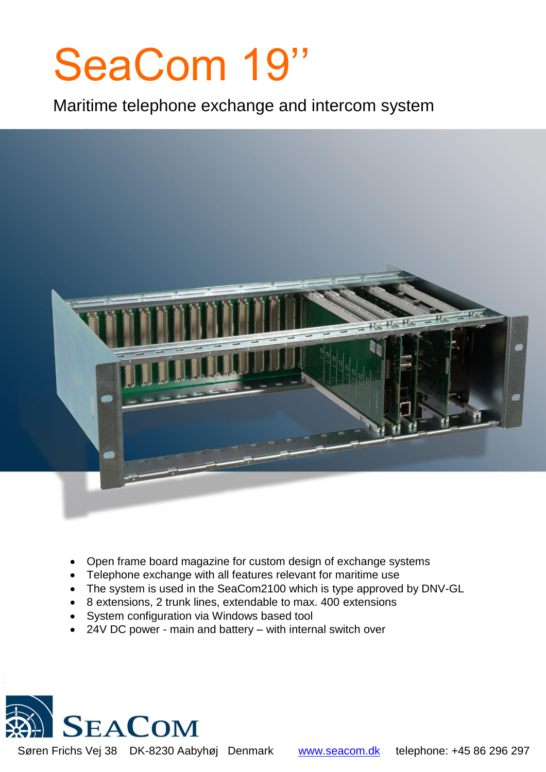# SeaCom 19''

i

Maritime telephone exchange and intercom system



- Open frame board magazine for custom design of exchange systems
- Telephone exchange with all features relevant for maritime use
- The system is used in the SeaCom2100 which is type approved by DNV-GL
- 8 extensions, 2 trunk lines, extendable to max. 400 extensions
- System configuration via Windows based tool
- 24V DC power main and battery with internal switch over